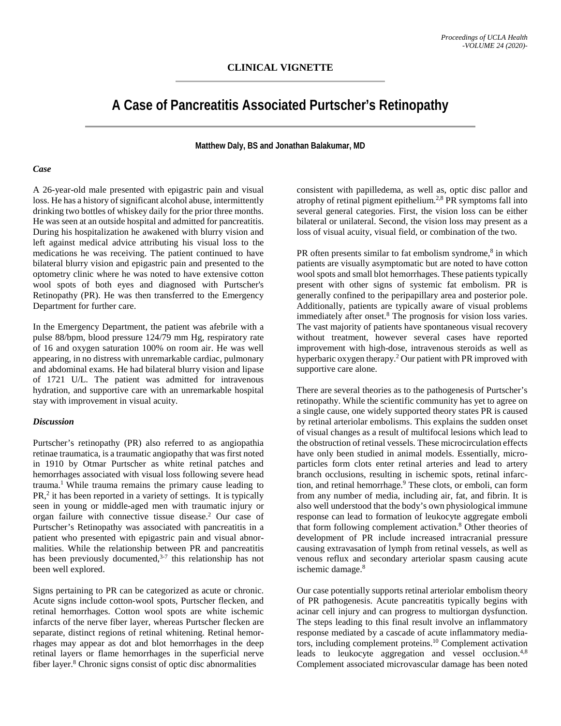# **A Case of Pancreatitis Associated Purtscher's Retinopathy**

## **Matthew Daly, BS and Jonathan Balakumar, MD**

#### *Case*

A 26-year-old male presented with epigastric pain and visual loss. He has a history of significant alcohol abuse, intermittently drinking two bottles of whiskey daily for the prior three months. He was seen at an outside hospital and admitted for pancreatitis. During his hospitalization he awakened with blurry vision and left against medical advice attributing his visual loss to the medications he was receiving. The patient continued to have bilateral blurry vision and epigastric pain and presented to the optometry clinic where he was noted to have extensive cotton wool spots of both eyes and diagnosed with Purtscher's Retinopathy (PR). He was then transferred to the Emergency Department for further care.

In the Emergency Department, the patient was afebrile with a pulse 88/bpm, blood pressure 124/79 mm Hg, respiratory rate of 16 and oxygen saturation 100% on room air. He was well appearing, in no distress with unremarkable cardiac, pulmonary and abdominal exams. He had bilateral blurry vision and lipase of 1721 U/L. The patient was admitted for intravenous hydration, and supportive care with an unremarkable hospital stay with improvement in visual acuity.

#### *Discussion*

Purtscher's retinopathy (PR) also referred to as angiopathia retinae traumatica, is a traumatic angiopathy that was first noted in 1910 by Otmar Purtscher as white retinal patches and hemorrhages associated with visual loss following severe head trauma.1 While trauma remains the primary cause leading to PR, <sup>2</sup> it has been reported in a variety of settings. It is typically seen in young or middle-aged men with traumatic injury or organ failure with connective tissue disease.2 Our case of Purtscher's Retinopathy was associated with pancreatitis in a patient who presented with epigastric pain and visual abnormalities. While the relationship between PR and pancreatitis has been previously documented,<sup>3-7</sup> this relationship has not been well explored.

Signs pertaining to PR can be categorized as acute or chronic. Acute signs include cotton-wool spots, Purtscher flecken, and retinal hemorrhages. Cotton wool spots are white ischemic infarcts of the nerve fiber layer, whereas Purtscher flecken are separate, distinct regions of retinal whitening. Retinal hemorrhages may appear as dot and blot hemorrhages in the deep retinal layers or flame hemorrhages in the superficial nerve fiber layer. <sup>8</sup> Chronic signs consist of optic disc abnormalities

consistent with papilledema, as well as, optic disc pallor and atrophy of retinal pigment epithelium.2,8 PR symptoms fall into several general categories. First, the vision loss can be either bilateral or unilateral. Second, the vision loss may present as a loss of visual acuity, visual field, or combination of the two.

PR often presents similar to fat embolism syndrome,<sup>8</sup> in which patients are visually asymptomatic but are noted to have cotton wool spots and small blot hemorrhages. These patients typically present with other signs of systemic fat embolism. PR is generally confined to the peripapillary area and posterior pole. Additionally, patients are typically aware of visual problems immediately after onset.8 The prognosis for vision loss varies. The vast majority of patients have spontaneous visual recovery without treatment, however several cases have reported improvement with high-dose, intravenous steroids as well as hyperbaric oxygen therapy.2 Our patient with PR improved with supportive care alone.

There are several theories as to the pathogenesis of Purtscher's retinopathy. While the scientific community has yet to agree on a single cause, one widely supported theory states PR is caused by retinal arteriolar embolisms. This explains the sudden onset of visual changes as a result of multifocal lesions which lead to the obstruction of retinal vessels. These microcirculation effects have only been studied in animal models. Essentially, microparticles form clots enter retinal arteries and lead to artery branch occlusions, resulting in ischemic spots, retinal infarction, and retinal hemorrhage.<sup>9</sup> These clots, or emboli, can form from any number of media, including air, fat, and fibrin. It is also well understood that the body's own physiological immune response can lead to formation of leukocyte aggregate emboli that form following complement activation.8 Other theories of development of PR include increased intracranial pressure causing extravasation of lymph from retinal vessels, as well as venous reflux and secondary arteriolar spasm causing acute ischemic damage.<sup>8</sup>

Our case potentially supports retinal arteriolar embolism theory of PR pathogenesis. Acute pancreatitis typically begins with acinar cell injury and can progress to multiorgan dysfunction. The steps leading to this final result involve an inflammatory response mediated by a cascade of acute inflammatory mediators, including complement proteins.10 Complement activation leads to leukocyte aggregation and vessel occlusion.<sup>4,8</sup> Complement associated microvascular damage has been noted